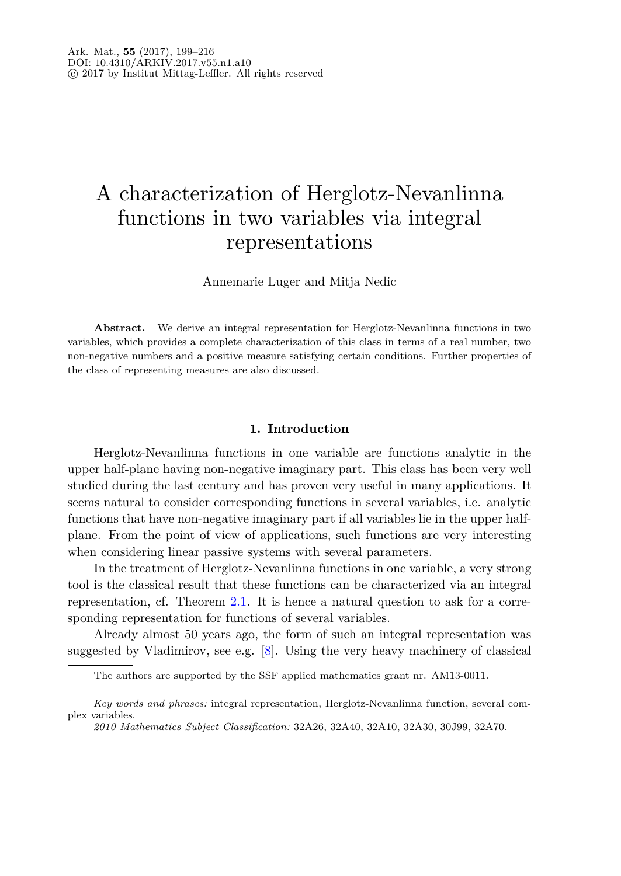# A characterization of Herglotz-Nevanlinna functions in two variables via integral representations

Annemarie Luger and Mitja Nedic

**Abstract.** We derive an integral representation for Herglotz-Nevanlinna functions in two variables, which provides a complete characterization of this class in terms of a real number, two non-negative numbers and a positive measure satisfying certain conditions. Further properties of the class of representing measures are also discussed.

## **1. Introduction**

Herglotz-Nevanlinna functions in one variable are functions analytic in the upper half-plane having non-negative imaginary part. This class has been very well studied during the last century and has proven very useful in many applications. It seems natural to consider corresponding functions in several variables, i.e. analytic functions that have non-negative imaginary part if all variables lie in the upper halfplane. From the point of view of applications, such functions are very interesting when considering linear passive systems with several parameters.

In the treatment of Herglotz-Nevanlinna functions in one variable, a very strong tool is the classical result that these functions can be characterized via an integral representation, cf. Theorem [2.1.](#page-2-0) It is hence a natural question to ask for a corresponding representation for functions of several variables.

Already almost 50 years ago, the form of such an integral representation was suggested by Vladimirov, see e.g. [\[8\]](#page-17-0). Using the very heavy machinery of classical

The authors are supported by the SSF applied mathematics grant nr. AM13-0011.

*Key words and phrases:* integral representation, Herglotz-Nevanlinna function, several complex variables.

*<sup>2010</sup> Mathematics Subject Classification:* 32A26, 32A40, 32A10, 32A30, 30J99, 32A70.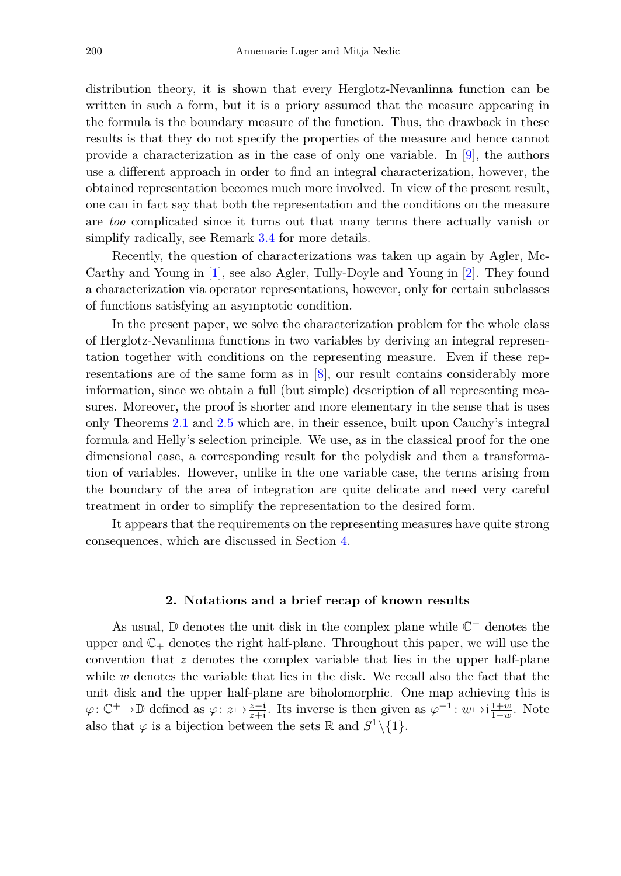distribution theory, it is shown that every Herglotz-Nevanlinna function can be written in such a form, but it is a priory assumed that the measure appearing in the formula is the boundary measure of the function. Thus, the drawback in these results is that they do not specify the properties of the measure and hence cannot provide a characterization as in the case of only one variable. In [\[9\]](#page-17-1), the authors use a different approach in order to find an integral characterization, however, the obtained representation becomes much more involved. In view of the present result, one can in fact say that both the representation and the conditions on the measure are *too* complicated since it turns out that many terms there actually vanish or simplify radically, see Remark [3.4](#page-10-0) for more details.

Recently, the question of characterizations was taken up again by Agler, Mc-Carthy and Young in [\[1](#page-16-0)], see also Agler, Tully-Doyle and Young in [\[2\]](#page-16-1). They found a characterization via operator representations, however, only for certain subclasses of functions satisfying an asymptotic condition.

In the present paper, we solve the characterization problem for the whole class of Herglotz-Nevanlinna functions in two variables by deriving an integral representation together with conditions on the representing measure. Even if these representations are of the same form as in [\[8](#page-17-0)], our result contains considerably more information, since we obtain a full (but simple) description of all representing measures. Moreover, the proof is shorter and more elementary in the sense that is uses only Theorems [2.1](#page-2-0) and [2.5](#page-3-0) which are, in their essence, built upon Cauchy's integral formula and Helly's selection principle. We use, as in the classical proof for the one dimensional case, a corresponding result for the polydisk and then a transformation of variables. However, unlike in the one variable case, the terms arising from the boundary of the area of integration are quite delicate and need very careful treatment in order to simplify the representation to the desired form.

It appears that the requirements on the representing measures have quite strong consequences, which are discussed in Section [4.](#page-13-0)

#### **2. Notations and a brief recap of known results**

<span id="page-1-0"></span>As usual,  $\mathbb D$  denotes the unit disk in the complex plane while  $\mathbb C^+$  denotes the upper and  $\mathbb{C}_+$  denotes the right half-plane. Throughout this paper, we will use the convention that *z* denotes the complex variable that lies in the upper half-plane while *w* denotes the variable that lies in the disk. We recall also the fact that the unit disk and the upper half-plane are biholomorphic. One map achieving this is  $\varphi: \mathbb{C}^+ \to \mathbb{D}$  defined as  $\varphi: z \mapsto \frac{z-i}{z+i}$ . Its inverse is then given as  $\varphi^{-1}: w \mapsto i\frac{1+w}{1-w}$ . Note also that  $\varphi$  is a bijection between the sets R and  $S^1 \setminus \{1\}$ .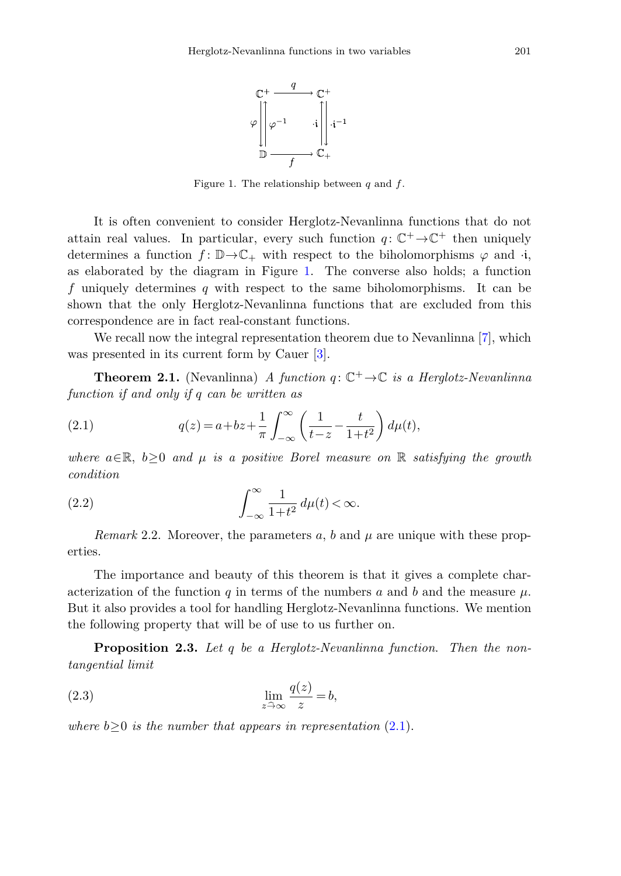

<span id="page-2-1"></span>Figure 1. The relationship between *q* and *f*.

It is often convenient to consider Herglotz-Nevanlinna functions that do not attain real values. In particular, every such function  $q: \mathbb{C}^+ \to \mathbb{C}^+$  then uniquely determines a function  $f: \mathbb{D} \to \mathbb{C}_+$  with respect to the biholomorphisms  $\varphi$  and  $\cdot$ **i**, as elaborated by the diagram in Figure [1.](#page-1-0) The converse also holds; a function *f* uniquely determines *q* with respect to the same biholomorphisms. It can be shown that the only Herglotz-Nevanlinna functions that are excluded from this correspondence are in fact real-constant functions.

We recall now the integral representation theorem due to Nevanlinna [\[7\]](#page-17-2), which was presented in its current form by Cauer [\[3\]](#page-16-2).

<span id="page-2-0"></span>**Theorem 2.1.** (Nevanlinna) A function  $q: \mathbb{C}^+ \to \mathbb{C}$  is a Herglotz-Nevanlinna function if and only if *q* can be written as

(2.1) 
$$
q(z) = a + bz + \frac{1}{\pi} \int_{-\infty}^{\infty} \left( \frac{1}{t - z} - \frac{t}{1 + t^2} \right) d\mu(t),
$$

<span id="page-2-3"></span>where  $a \in \mathbb{R}$ ,  $b \geq 0$  and  $\mu$  is a positive Borel measure on  $\mathbb{R}$  satisfying the growth condition

(2.2) 
$$
\int_{-\infty}^{\infty} \frac{1}{1+t^2} d\mu(t) < \infty.
$$

*Remark* 2.2. Moreover, the parameters  $a, b$  and  $\mu$  are unique with these properties.

The importance and beauty of this theorem is that it gives a complete characterization of the function *q* in terms of the numbers *a* and *b* and the measure  $\mu$ . But it also provides a tool for handling Herglotz-Nevanlinna functions. We mention the following property that will be of use to us further on.

<span id="page-2-2"></span>**Proposition 2.3.** Let *q* be a Herglotz-Nevanlinna function. Then the nontangential limit

(2.3) 
$$
\lim_{z \to \infty} \frac{q(z)}{z} = b,
$$

where  $b>0$  is the number that appears in representation  $(2.1)$  $(2.1)$ .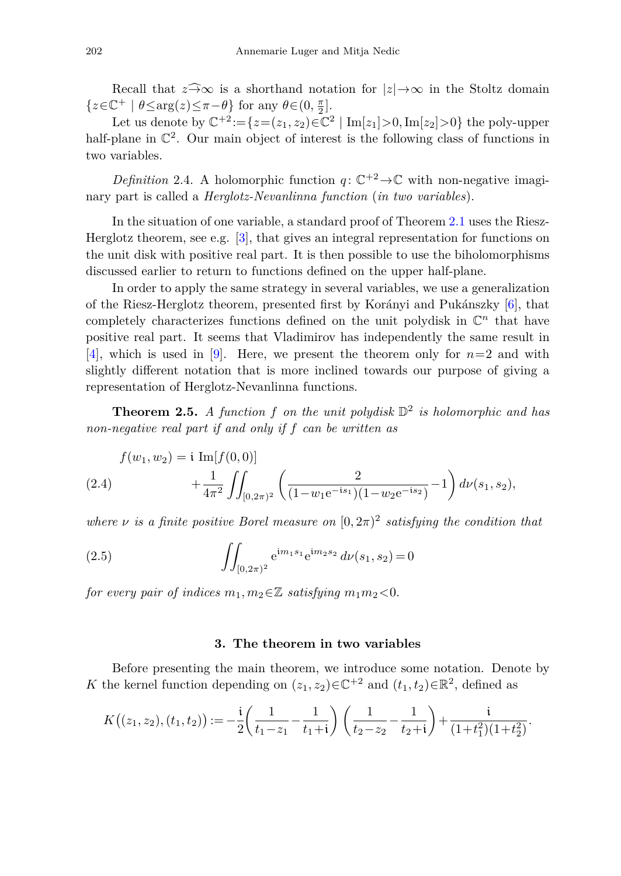Recall that  $z \widehat{\rightarrow} \infty$  is a shorthand notation for  $|z| \rightarrow \infty$  in the Stoltz domain  $\{z \in \mathbb{C}^+ \mid \theta \le \arg(z) \le \pi - \theta\}$  for any  $\theta \in (0, \frac{\pi}{2}]$ .

Let us denote by  $\mathbb{C}^{+2} := \{z = (z_1, z_2) \in \mathbb{C}^2 \mid \text{Im}[z_1] > 0, \text{Im}[z_2] > 0\}$  the poly-upper half-plane in  $\mathbb{C}^2$ . Our main object of interest is the following class of functions in two variables.

*Definition* 2.4. A holomorphic function  $q: \mathbb{C}^{+2} \to \mathbb{C}$  with non-negative imaginary part is called a *Herglotz-Nevanlinna function* (*in two variables*).

In the situation of one variable, a standard proof of Theorem [2.1](#page-2-0) uses the Riesz-Herglotz theorem, see e.g. [\[3](#page-16-2)], that gives an integral representation for functions on the unit disk with positive real part. It is then possible to use the biholomorphisms discussed earlier to return to functions defined on the upper half-plane.

In order to apply the same strategy in several variables, we use a generalization of the Riesz-Herglotz theorem, presented first by Korányi and Pukánszky [\[6](#page-17-3)], that completely characterizes functions defined on the unit polydisk in  $\mathbb{C}^n$  that have positive real part. It seems that Vladimirov has independently the same result in [\[4](#page-17-4)], which is used in [\[9\]](#page-17-1). Here, we present the theorem only for *n*=2 and with slightly different notation that is more inclined towards our purpose of giving a representation of Herglotz-Nevanlinna functions.

<span id="page-3-0"></span>**Theorem 2.5.** A function f on the unit polydisk  $\mathbb{D}^2$  is holomorphic and has non-negative real part if and only if *f* can be written as

<span id="page-3-1"></span>
$$
f(w_1, w_2) = \mathbf{i} \operatorname{Im}[f(0, 0)] + \frac{1}{4\pi^2} \iint_{[0, 2\pi)^2} \left( \frac{2}{(1 - w_1 e^{-is_1})(1 - w_2 e^{-is_2})} - 1 \right) d\nu(s_1, s_2),
$$

where *ν* is a finite positive Borel measure on  $[0, 2\pi)^2$  satisfying the condition that

(2.5) 
$$
\iint_{[0,2\pi)^2} e^{im_1s_1} e^{im_2s_2} d\nu(s_1,s_2) = 0
$$

for every pair of indices  $m_1, m_2 \in \mathbb{Z}$  satisfying  $m_1 m_2 < 0$ .

## <span id="page-3-2"></span>**3. The theorem in two variables**

Before presenting the main theorem, we introduce some notation. Denote by *K* the kernel function depending on  $(z_1, z_2) \in \mathbb{C}^{+2}$  and  $(t_1, t_2) \in \mathbb{R}^2$ , defined as

$$
K((z_1, z_2), (t_1, t_2)) := -\frac{i}{2} \left( \frac{1}{t_1 - z_1} - \frac{1}{t_1 + i} \right) \left( \frac{1}{t_2 - z_2} - \frac{1}{t_2 + i} \right) + \frac{i}{(1 + t_1^2)(1 + t_2^2)}.
$$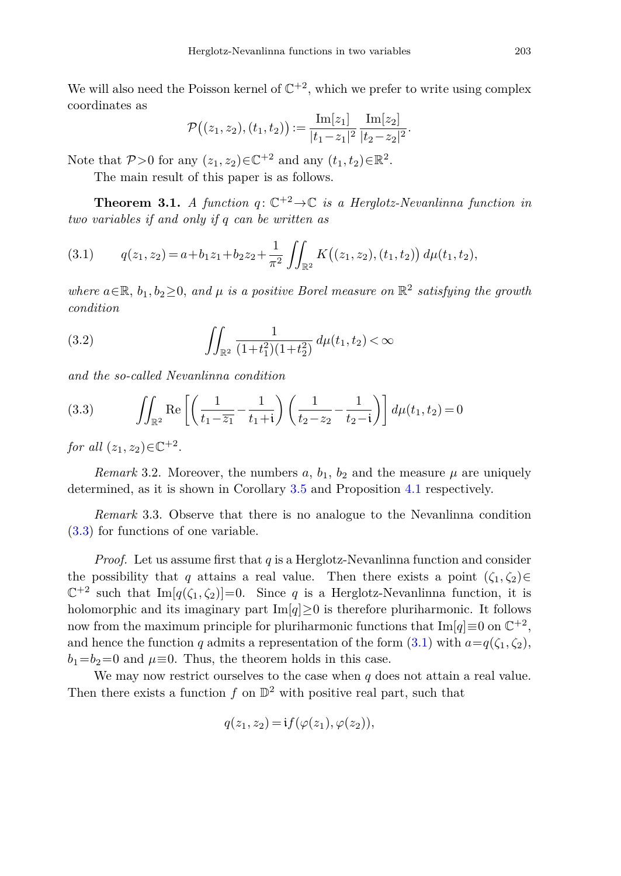We will also need the Poisson kernel of  $\mathbb{C}^{+2}$ , which we prefer to write using complex coordinates as

<span id="page-4-1"></span>
$$
\mathcal{P}((z_1,z_2),(t_1,t_2)) := \frac{\mathrm{Im}[z_1]}{|t_1-z_1|^2}\frac{\mathrm{Im}[z_2]}{|t_2-z_2|^2}.
$$

Note that  $P>0$  for any  $(z_1, z_2) \in \mathbb{C}^{+2}$  and any  $(t_1, t_2) \in \mathbb{R}^2$ .

The main result of this paper is as follows.

<span id="page-4-4"></span>**Theorem 3.1.** A function  $q: \mathbb{C}^{+2} \to \mathbb{C}$  is a Herglotz-Nevanlinna function in two variables if and only if *q* can be written as

$$
(3.1) \tq(z_1, z_2) = a + b_1 z_1 + b_2 z_2 + \frac{1}{\pi^2} \iint_{\mathbb{R}^2} K((z_1, z_2), (t_1, t_2)) d\mu(t_1, t_2),
$$

<span id="page-4-3"></span>where  $a \in \mathbb{R}$ ,  $b_1, b_2 \geq 0$ , and  $\mu$  is a positive Borel measure on  $\mathbb{R}^2$  satisfying the growth condition

(3.2) 
$$
\int_{\mathbb{R}^2} \frac{1}{(1+t_1^2)(1+t_2^2)} d\mu(t_1, t_2) < \infty
$$

<span id="page-4-0"></span>and the so-called Nevanlinna condition

(3.3) 
$$
\iint_{\mathbb{R}^2} \text{Re}\left[\left(\frac{1}{t_1 - \overline{z_1}} - \frac{1}{t_1 + i}\right) \left(\frac{1}{t_2 - z_2} - \frac{1}{t_2 - i}\right)\right] d\mu(t_1, t_2) = 0
$$

for all  $(z_1, z_2) \in \mathbb{C}^{+2}$ .

*Remark* 3.2. Moreover, the numbers  $a, b_1, b_2$  and the measure  $\mu$  are uniquely determined, as it is shown in Corollary [3.5](#page-11-0) and Proposition [4.1](#page-13-1) respectively.

<span id="page-4-2"></span>*Remark* 3.3. Observe that there is no analogue to the Nevanlinna condition [\(3.3\)](#page-4-0) for functions of one variable.

*Proof.* Let us assume first that *q* is a Herglotz-Nevanlinna function and consider the possibility that *q* attains a real value. Then there exists a point  $(\zeta_1, \zeta_2) \in$  $\mathbb{C}^{+2}$  such that  $\text{Im}[q(\zeta_1,\zeta_2)]=0$ . Since *q* is a Herglotz-Nevanlinna function, it is holomorphic and its imaginary part  $\text{Im}[q] \geq 0$  is therefore pluriharmonic. It follows now from the maximum principle for pluriharmonic functions that  $\text{Im}[q] \equiv 0$  on  $\mathbb{C}^{+2}$ , and hence the function *q* admits a representation of the form  $(3.1)$  $(3.1)$  with  $a=q(\zeta_1,\zeta_2)$ ,  $b_1=b_2=0$  and  $\mu\equiv 0$ . Thus, the theorem holds in this case.

We may now restrict ourselves to the case when *q* does not attain a real value. Then there exists a function  $f$  on  $\mathbb{D}^2$  with positive real part, such that

$$
q(z_1, z_2) = \mathbf{i} f(\varphi(z_1), \varphi(z_2)),
$$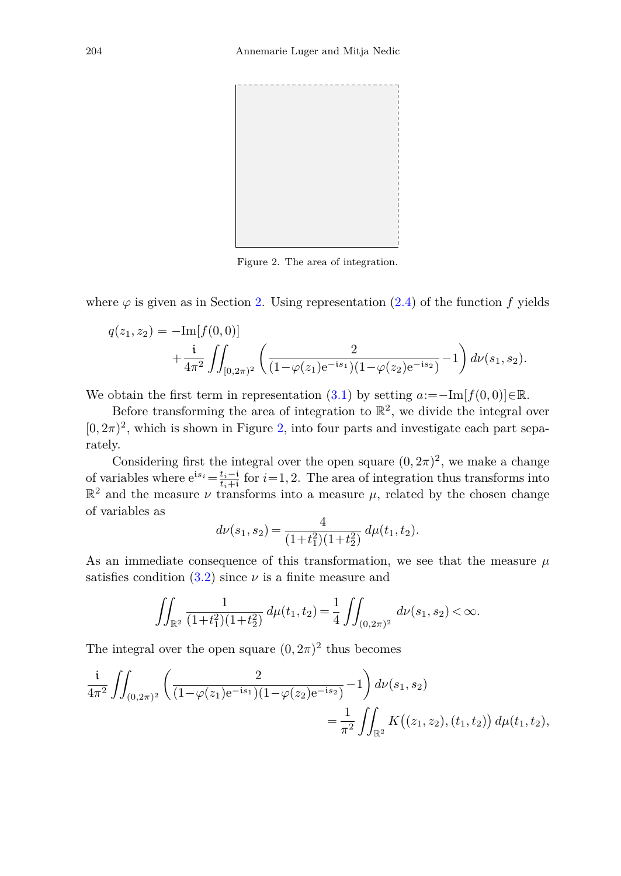

Figure 2. The area of integration.

where  $\varphi$  is given as in Section [2.](#page-1-0) Using representation (2.[4\)](#page-3-1) of the function *f* yields

$$
q(z_1, z_2) = -\text{Im}[f(0, 0)] + \frac{i}{4\pi^2} \iint_{[0, 2\pi)^2} \left( \frac{2}{(1 - \varphi(z_1)e^{-is_1})(1 - \varphi(z_2)e^{-is_2})} - 1 \right) d\nu(s_1, s_2).
$$

We obtain the first term in representation  $(3.1)$  $(3.1)$  by setting  $a:=-\text{Im}[f(0,0)]\in\mathbb{R}$ .

Before transforming the area of integration to  $\mathbb{R}^2$ , we divide the integral over  $[0, 2\pi)^2$ , which is shown in Figure [2,](#page-4-2) into four parts and investigate each part separately.

Considering first the integral over the open square  $(0, 2\pi)^2$ , we make a change of variables where  $e^{is_i} = \frac{t_i - i}{t_i + i}$  for  $i = 1, 2$ . The area of integration thus transforms into  $\mathbb{R}^2$  and the measure *ν* transforms into a measure *μ*, related by the chosen change of variables as

$$
d\nu(s_1, s_2) = \frac{4}{(1+t_1^2)(1+t_2^2)} d\mu(t_1, t_2).
$$

As an immediate consequence of this transformation, we see that the measure *μ* satisfies condition  $(3.2)$  $(3.2)$  since  $\nu$  is a finite measure and

$$
\iint_{\mathbb{R}^2} \frac{1}{(1+t_1^2)(1+t_2^2)} \, d\mu(t_1,t_2) = \frac{1}{4} \iint_{(0,2\pi)^2} \, d\nu(s_1,s_2) < \infty.
$$

The integral over the open square  $(0, 2\pi)^2$  thus becomes

$$
\frac{i}{4\pi^2} \iint_{(0,2\pi)^2} \left( \frac{2}{(1-\varphi(z_1)e^{-is_1})(1-\varphi(z_2)e^{-is_2})} - 1 \right) d\nu(s_1, s_2)
$$
\n
$$
= \frac{1}{\pi^2} \iint_{\mathbb{R}^2} K((z_1, z_2), (t_1, t_2)) d\mu(t_1, t_2),
$$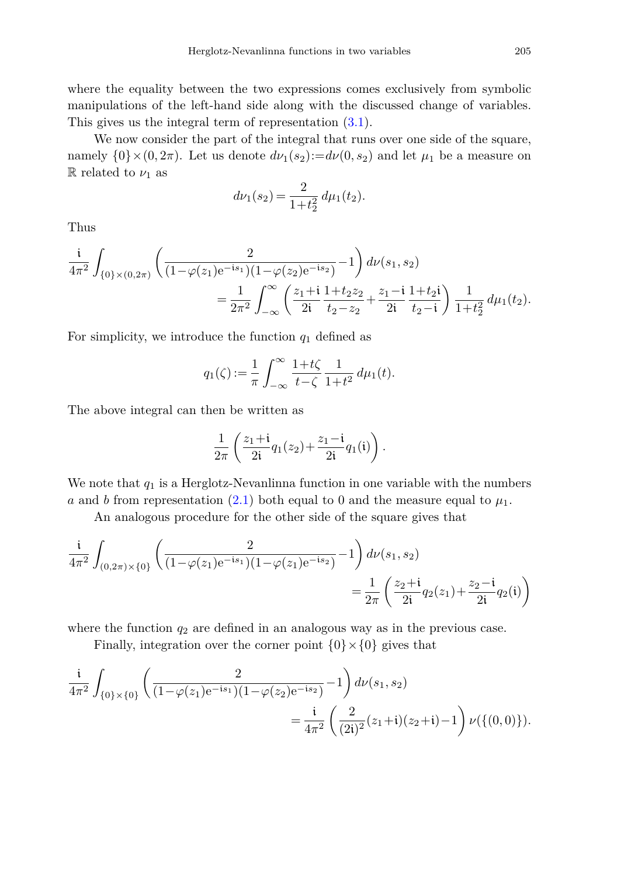where the equality between the two expressions comes exclusively from symbolic manipulations of the left-hand side along with the discussed change of variables. This gives us the integral term of representation (3*.*[1\)](#page-4-1).

We now consider the part of the integral that runs over one side of the square, namely  $\{0\} \times (0, 2\pi)$ . Let us denote  $d\nu_1(s_2) := d\nu(0, s_2)$  and let  $\mu_1$  be a measure on R related to  $\nu_1$  as

$$
d\nu_1(s_2) = \frac{2}{1+t_2^2} d\mu_1(t_2).
$$

Thus

$$
\frac{i}{4\pi^2} \int_{\{0\} \times (0,2\pi)} \left( \frac{2}{(1-\varphi(z_1)e^{-is_1})(1-\varphi(z_2)e^{-is_2})} - 1 \right) d\nu(s_1, s_2)
$$
\n
$$
= \frac{1}{2\pi^2} \int_{-\infty}^{\infty} \left( \frac{z_1 + i}{2i} \frac{1 + t_2 z_2}{t_2 - z_2} + \frac{z_1 - i}{2i} \frac{1 + t_2 i}{t_2 - i} \right) \frac{1}{1 + t_2^2} d\mu_1(t_2).
$$

For simplicity, we introduce the function *q*<sup>1</sup> defined as

$$
q_1(\zeta) := \frac{1}{\pi} \int_{-\infty}^{\infty} \frac{1 + t\zeta}{t - \zeta} \frac{1}{1 + t^2} \, d\mu_1(t).
$$

The above integral can then be written as

$$
\frac{1}{2\pi}\left(\frac{z_1+i}{2i}q_1(z_2)+\frac{z_1-i}{2i}q_1(i)\right).
$$

We note that  $q_1$  is a Herglotz-Nevanlinna function in one variable with the numbers *a* and *b* from representation  $(2.1)$  $(2.1)$  both equal to 0 and the measure equal to  $\mu_1$ .

An analogous procedure for the other side of the square gives that

$$
\frac{i}{4\pi^2} \int_{(0,2\pi)\times\{0\}} \left( \frac{2}{(1-\varphi(z_1)e^{-is_1})(1-\varphi(z_1)e^{-is_2})} - 1 \right) d\nu(s_1,s_2)
$$
\n
$$
= \frac{1}{2\pi} \left( \frac{z_2+i}{2i} q_2(z_1) + \frac{z_2-i}{2i} q_2(i) \right)
$$

where the function  $q_2$  are defined in an analogous way as in the previous case.

Finally, integration over the corner point  $\{0\} \times \{0\}$  gives that

$$
\frac{i}{4\pi^2} \int_{\{0\} \times \{0\}} \left( \frac{2}{(1 - \varphi(z_1)e^{-is_1})(1 - \varphi(z_2)e^{-is_2})} - 1 \right) d\nu(s_1, s_2)
$$
\n
$$
= \frac{i}{4\pi^2} \left( \frac{2}{(2i)^2} (z_1 + i)(z_2 + i) - 1 \right) \nu(\{(0, 0)\}).
$$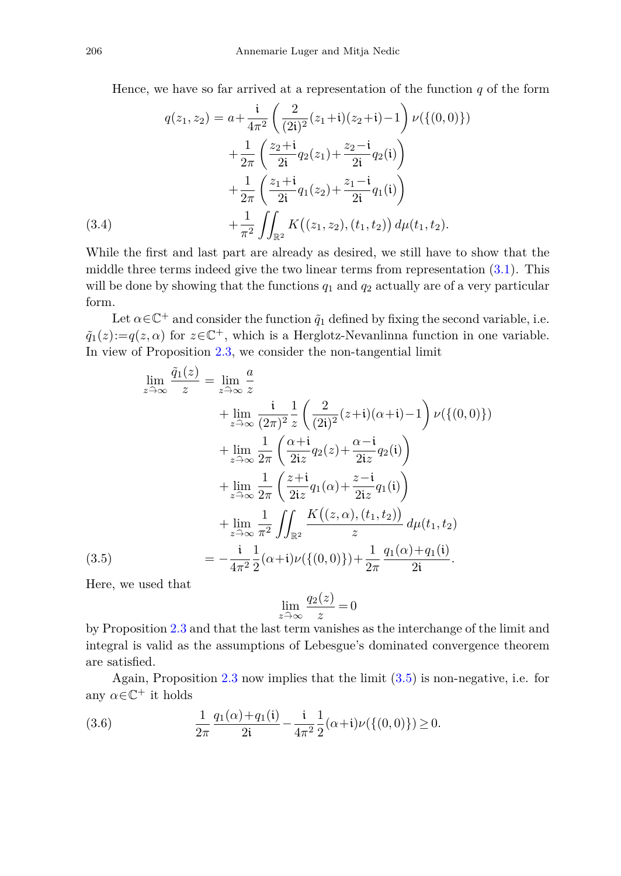<span id="page-7-2"></span>Hence, we have so far arrived at a representation of the function  $q$  of the form

$$
q(z_1, z_2) = a + \frac{i}{4\pi^2} \left( \frac{2}{(2i)^2} (z_1 + i)(z_2 + i) - 1 \right) \nu(\{(0, 0)\})
$$

$$
+ \frac{1}{2\pi} \left( \frac{z_2 + i}{2i} q_2(z_1) + \frac{z_2 - i}{2i} q_2(i) \right)
$$

$$
+ \frac{1}{2\pi} \left( \frac{z_1 + i}{2i} q_1(z_2) + \frac{z_1 - i}{2i} q_1(i) \right)
$$

$$
+ \frac{1}{\pi^2} \iint_{\mathbb{R}^2} K((z_1, z_2), (t_1, t_2)) d\mu(t_1, t_2).
$$

While the first and last part are already as desired, we still have to show that the middle three terms indeed give the two linear terms from representation (3*.*[1\)](#page-4-1). This will be done by showing that the functions  $q_1$  and  $q_2$  actually are of a very particular form.

Let  $\alpha \in \mathbb{C}^+$  and consider the function  $\tilde{q}_1$  defined by fixing the second variable, i.e.  $\tilde{q}_1(z) := q(z, \alpha)$  for  $z \in \mathbb{C}^+$ , which is a Herglotz-Nevanlinna function in one variable. In view of Proposition [2.3,](#page-2-2) we consider the non-tangential limit

<span id="page-7-0"></span>
$$
\lim_{z \to \infty} \frac{\tilde{q}_1(z)}{z} = \lim_{z \to \infty} \frac{a}{z} \n+ \lim_{z \to \infty} \frac{i}{(2\pi)^2} \frac{1}{z} \left( \frac{2}{(2i)^2} (z+i)(\alpha+i) - 1 \right) \nu({(0,0)}) \n+ \lim_{z \to \infty} \frac{1}{2\pi} \left( \frac{\alpha+i}{2iz} q_2(z) + \frac{\alpha-i}{2iz} q_2(i) \right) \n+ \lim_{z \to \infty} \frac{1}{2\pi} \left( \frac{z+i}{2iz} q_1(\alpha) + \frac{z-i}{2iz} q_1(i) \right) \n+ \lim_{z \to \infty} \frac{1}{\pi^2} \iint_{\mathbb{R}^2} \frac{K((z,\alpha),(t_1,t_2))}{z} d\mu(t_1,t_2) \n= -\frac{i}{4\pi^2} \frac{1}{2} (\alpha+i) \nu({(0,0)}) + \frac{1}{2\pi} \frac{q_1(\alpha)+q_1(i)}{2i}.
$$

Here, we used that

$$
\lim_{z \widehat{\to} \infty} \frac{q_2(z)}{z} = 0
$$

by Proposition [2.3](#page-2-2) and that the last term vanishes as the interchange of the limit and integral is valid as the assumptions of Lebesgue's dominated convergence theorem are satisfied.

Again, Proposition  $2.3$  now implies that the limit  $(3.5)$  is non-negative, i.e. for any  $\alpha \in \mathbb{C}^+$  it holds

<span id="page-7-1"></span>(3.6) 
$$
\frac{1}{2\pi} \frac{q_1(\alpha) + q_1(\mathfrak{i})}{2\mathfrak{i}} - \frac{\mathfrak{i}}{4\pi^2} \frac{1}{2} (\alpha + \mathfrak{i}) \nu(\{(0,0)\}) \ge 0.
$$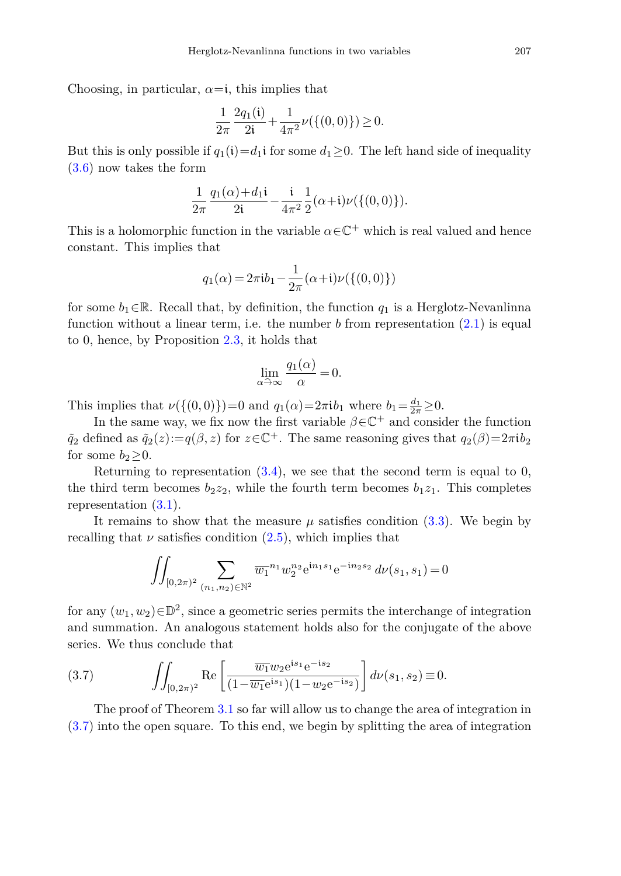Choosing, in particular,  $\alpha = i$ , this implies that

$$
\frac{1}{2\pi} \frac{2q_1(\mathfrak{i})}{2\mathfrak{i}} + \frac{1}{4\pi^2} \nu(\{(0,0)\}) \ge 0.
$$

But this is only possible if  $q_1(i)=d_1i$  for some  $d_1\geq 0$ . The left hand side of inequality [\(3](#page-7-1)*.*6) now takes the form

$$
\frac{1}{2\pi} \frac{q_1(\alpha)+d_1i}{2i} - \frac{i}{4\pi^2} \frac{1}{2}(\alpha+i)\nu(\{(0,0)\}).
$$

This is a holomorphic function in the variable  $\alpha \in \mathbb{C}^+$  which is real valued and hence constant. This implies that

$$
q_1(\alpha) = 2\pi i b_1 - \frac{1}{2\pi}(\alpha + i)\nu(\{(0,0)\})
$$

for some  $b_1 \in \mathbb{R}$ . Recall that, by definition, the function  $q_1$  is a Herglotz-Nevanlinna function without a linear term, i.e. the number *b* from representation (2*.*[1\)](#page-2-1) is equal to 0, hence, by Proposition [2.3,](#page-2-2) it holds that

$$
\lim_{\alpha \to \infty} \frac{q_1(\alpha)}{\alpha} = 0.
$$

This implies that  $\nu({(0,0)})=0$  and  $q_1(\alpha)=2\pi i b_1$  where  $b_1=\frac{d_1}{2\pi}\geq 0$ .

In the same way, we fix now the first variable  $\beta \in \mathbb{C}^+$  and consider the function  $\tilde{q}_2$  defined as  $\tilde{q}_2(z) := q(\beta, z)$  for  $z \in \mathbb{C}^+$ . The same reasoning gives that  $q_2(\beta) = 2\pi i b_2$ for some  $b_2 \geq 0$ .

Returning to representation  $(3.4)$  $(3.4)$ , we see that the second term is equal to 0, the third term becomes  $b_2z_2$ , while the fourth term becomes  $b_1z_1$ . This completes representation [\(3](#page-4-1)*.*1).

It remains to show that the measure  $\mu$  satisfies condition [\(3](#page-4-0).3). We begin by recalling that  $\nu$  satisfies condition  $(2.5)$  $(2.5)$ , which implies that

<span id="page-8-0"></span>
$$
\iint_{[0,2\pi)^2} \sum_{(n_1,n_2)\in \mathbb{N}^2} \overline{w_1}^{n_1} w_2^{n_2} e^{\mathrm{i} n_1 s_1} e^{-\mathrm{i} n_2 s_2} d\nu(s_1,s_1) = 0
$$

for any  $(w_1, w_2) \in \mathbb{D}^2$ , since a geometric series permits the interchange of integration and summation. An analogous statement holds also for the conjugate of the above series. We thus conclude that

(3.7) 
$$
\int_{[0,2\pi)^2} \text{Re}\left[\frac{\overline{w_1}w_2 e^{is_1} e^{-is_2}}{(1-\overline{w_1}e^{is_1})(1-w_2 e^{-is_2})}\right] d\nu(s_1,s_2) \equiv 0.
$$

The proof of Theorem [3.1](#page-4-4) so far will allow us to change the area of integration in [\(3](#page-8-0)*.*7) into the open square. To this end, we begin by splitting the area of integration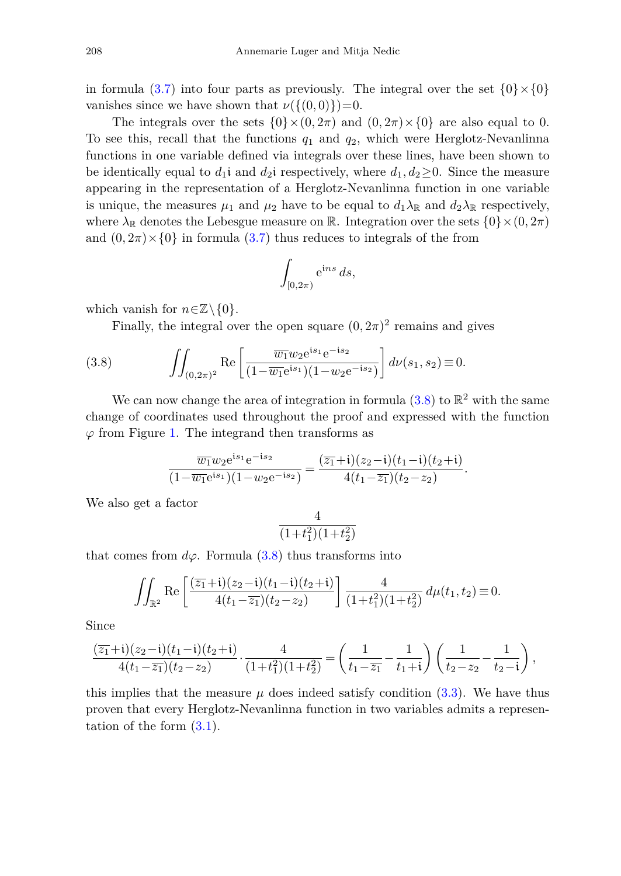in formula (3.[7\)](#page-8-0) into four parts as previously. The integral over the set  $\{0\}\times\{0\}$ vanishes since we have shown that  $\nu({(0,0)})=0$ .

The integrals over the sets  $\{0\} \times (0, 2\pi)$  and  $(0, 2\pi) \times \{0\}$  are also equal to 0. To see this, recall that the functions  $q_1$  and  $q_2$ , which were Herglotz-Nevanlinna functions in one variable defined via integrals over these lines, have been shown to be identically equal to  $d_1$ i and  $d_2$ i respectively, where  $d_1, d_2 \geq 0$ . Since the measure appearing in the representation of a Herglotz-Nevanlinna function in one variable is unique, the measures  $\mu_1$  and  $\mu_2$  have to be equal to  $d_1 \lambda_{\mathbb{R}}$  and  $d_2 \lambda_{\mathbb{R}}$  respectively, where  $\lambda_{\mathbb{R}}$  denotes the Lebesgue measure on  $\mathbb{R}$ . Integration over the sets  $\{0\} \times (0, 2\pi)$ and  $(0, 2\pi) \times \{0\}$  in formula  $(3.7)$  $(3.7)$  thus reduces to integrals of the from

<span id="page-9-0"></span>
$$
\int_{[0,2\pi)} \mathrm{e}^{\mathrm{i} ns} \, ds,
$$

which vanish for  $n \in \mathbb{Z} \backslash \{0\}$ .

Finally, the integral over the open square  $(0, 2\pi)^2$  remains and gives

(3.8) 
$$
\iint_{(0,2\pi)^2} \text{Re}\left[\frac{\overline{w_1}w_2 e^{is_1} e^{-is_2}}{(1-\overline{w_1}e^{is_1})(1-w_2 e^{-is_2})}\right] d\nu(s_1,s_2) \equiv 0.
$$

We can now change the area of integration in formula  $(3.8)$  $(3.8)$  to  $\mathbb{R}^2$  with the same change of coordinates used throughout the proof and expressed with the function *ϕ* from Figure [1.](#page-1-0) The integrand then transforms as

$$
\frac{\overline{w_1}w_2e^{is_1}e^{-is_2}}{(1-\overline{w_1}e^{is_1})(1-w_2e^{-is_2})} = \frac{(\overline{z_1}+i)(z_2-i)(t_1-i)(t_2+i)}{4(t_1-\overline{z_1})(t_2-z_2)}.
$$

We also get a factor

$$
\frac{4}{(1+t_1^2)(1+t_2^2)}
$$

that comes from  $d\varphi$ . Formula (3.[8\)](#page-9-0) thus transforms into

$$
\iint_{\mathbb{R}^2} \text{Re}\left[\frac{(\overline{z_1}+i)(z_2-i)(t_1-i)(t_2+i)}{4(t_1-\overline{z_1})(t_2-z_2)}\right] \frac{4}{(1+t_1^2)(1+t_2^2)} d\mu(t_1, t_2) \equiv 0.
$$

Since

$$
\frac{(\overline{z_1}+{\bf i})(z_2-{\bf i})(t_1-{\bf i})(t_2+{\bf i})}{4(t_1-\overline{z_1})(t_2-z_2)}\cdot\frac{4}{(1+t_1^2)(1+t_2^2)}=\left(\frac{1}{t_1-\overline{z_1}}-\frac{1}{t_1+{\bf i}}\right)\left(\frac{1}{t_2-z_2}-\frac{1}{t_2-{\bf i}}\right),
$$

this implies that the measure  $\mu$  does indeed satisfy condition (3.[3\)](#page-4-0). We have thus proven that every Herglotz-Nevanlinna function in two variables admits a representation of the form (3*.*[1\)](#page-4-1).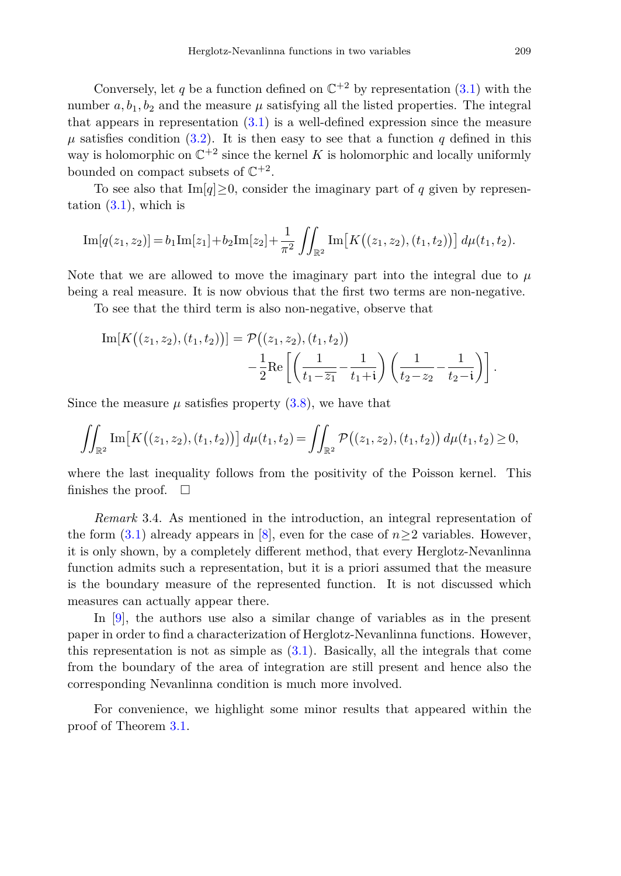Conversely, let q be a function defined on  $\mathbb{C}^{+2}$  by representation [\(3](#page-4-1).1) with the number  $a, b_1, b_2$  and the measure  $\mu$  satisfying all the listed properties. The integral that appears in representation [\(3](#page-4-1)*.*1) is a well-defined expression since the measure  $\mu$  satisfies condition [\(3](#page-4-3).2). It is then easy to see that a function *q* defined in this way is holomorphic on  $\mathbb{C}^{+2}$  since the kernel K is holomorphic and locally uniformly bounded on compact subsets of  $\mathbb{C}^{+2}$ .

To see also that  $\text{Im}[q] \geq 0$ , consider the imaginary part of *q* given by representation [\(3](#page-4-1)*.*1), which is

Im[
$$
q(z_1, z_2)
$$
] =  $b_1$ Im[ $z_1$ ] +  $b_2$ Im[ $z_2$ ] +  $\frac{1}{\pi^2}$   $\iint_{\mathbb{R}^2}$ Im[ $K((z_1, z_2), (t_1, t_2))$ ]  $d\mu(t_1, t_2)$ .

Note that we are allowed to move the imaginary part into the integral due to  $\mu$ being a real measure. It is now obvious that the first two terms are non-negative.

To see that the third term is also non-negative, observe that

Im[K((z<sub>1</sub>, z<sub>2</sub>), (t<sub>1</sub>, t<sub>2</sub>))] = 
$$
\mathcal{P}((z_1, z_2), (t_1, t_2))
$$
  
  $-\frac{1}{2}$ Re  $\left[ \left( \frac{1}{t_1 - \overline{z_1}} - \frac{1}{t_1 + i} \right) \left( \frac{1}{t_2 - z_2} - \frac{1}{t_2 - i} \right) \right].$ 

Since the measure  $\mu$  satisfies property  $(3.8)$  $(3.8)$ , we have that

$$
\iint_{\mathbb{R}^2} \mathrm{Im}\big[K\big((z_1,z_2),(t_1,t_2)\big)\big] d\mu(t_1,t_2) = \iint_{\mathbb{R}^2} \mathcal{P}\big((z_1,z_2),(t_1,t_2)\big) d\mu(t_1,t_2) \ge 0,
$$

where the last inequality follows from the positivity of the Poisson kernel. This finishes the proof.  $\Box$ 

<span id="page-10-0"></span>*Remark* 3.4. As mentioned in the introduction, an integral representation of the form  $(3.1)$  already appears in [\[8](#page-17-0)], even for the case of  $n>2$  variables. However, it is only shown, by a completely different method, that every Herglotz-Nevanlinna function admits such a representation, but it is a priori assumed that the measure is the boundary measure of the represented function. It is not discussed which measures can actually appear there.

In [\[9\]](#page-17-1), the authors use also a similar change of variables as in the present paper in order to find a characterization of Herglotz-Nevanlinna functions. However, this representation is not as simple as  $(3.1)$ . Basically, all the integrals that come from the boundary of the area of integration are still present and hence also the corresponding Nevanlinna condition is much more involved.

For convenience, we highlight some minor results that appeared within the proof of Theorem [3.1.](#page-4-4)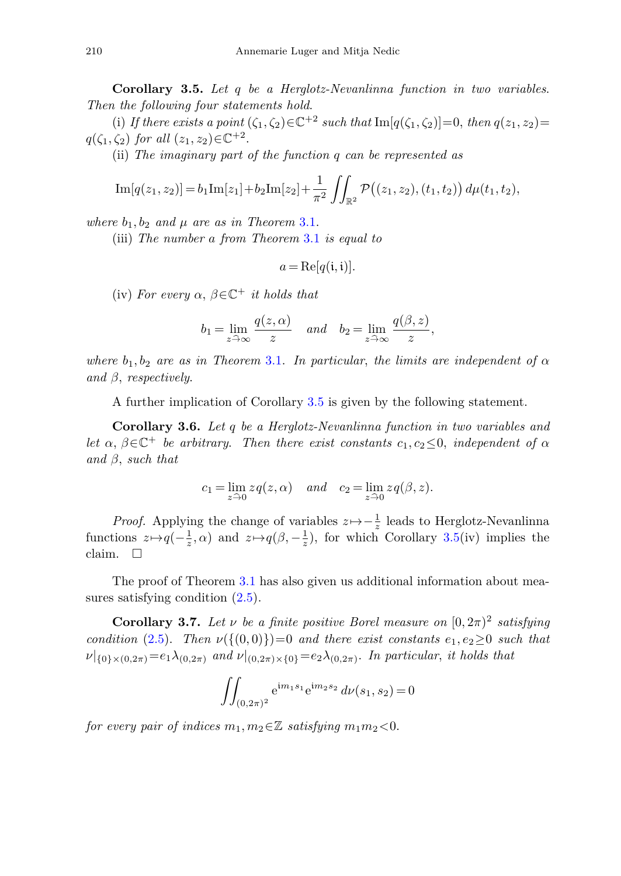<span id="page-11-0"></span>**Corollary 3.5.** Let *q* be a Herglotz-Nevanlinna function in two variables. Then the following four statements hold.

(i) If there exists a point  $(\zeta_1, \zeta_2) \in \mathbb{C}^{+2}$  such that  $\text{Im}[\overline{q}(\zeta_1, \zeta_2)] = 0$ , then  $\overline{q}(z_1, z_2) =$ *q*( $\zeta_1, \zeta_2$ ) for all  $(z_1, z_2) \in \mathbb{C}^{+2}$ .

(ii) The imaginary part of the function *q* can be represented as

$$
\mathrm{Im}[q(z_1, z_2)] = b_1 \mathrm{Im}[z_1] + b_2 \mathrm{Im}[z_2] + \frac{1}{\pi^2} \iint_{\mathbb{R}^2} \mathcal{P}((z_1, z_2), (t_1, t_2)) d\mu(t_1, t_2),
$$

where  $b_1, b_2$  and  $\mu$  are as in Theorem [3.1.](#page-4-4)

(iii) The number *a* from Theorem [3.1](#page-4-4) is equal to

$$
a = \text{Re}[q(\mathfrak{i}, \mathfrak{i})].
$$

(iv) For every  $\alpha$ ,  $\beta \in \mathbb{C}^+$  *it holds that* 

$$
b_1 = \lim_{z \to \infty} \frac{q(z, \alpha)}{z}
$$
 and  $b_2 = \lim_{z \to \infty} \frac{q(\beta, z)}{z}$ ,

where  $b_1, b_2$  are as in Theorem [3.1.](#page-4-4) In particular, the limits are independent of  $\alpha$ and *β*, respectively.

A further implication of Corollary [3.5](#page-11-0) is given by the following statement.

**Corollary 3.6.** Let *q* be a Herglotz-Nevanlinna function in two variables and let  $\alpha$ ,  $\beta \in \mathbb{C}^+$  be arbitrary. Then there exist constants  $c_1, c_2 \leq 0$ , independent of  $\alpha$ and *β*, such that

$$
c_1 = \lim_{z \to 0} zq(z, \alpha)
$$
 and  $c_2 = \lim_{z \to 0} zq(\beta, z)$ .

*Proof.* Applying the change of variables  $z \mapsto -\frac{1}{z}$  leads to Herglotz-Nevanlinna functions  $z \mapsto q(-\frac{1}{z}, \alpha)$  and  $z \mapsto q(\beta, -\frac{1}{z})$ , for which Corollary [3.5\(](#page-11-0)iv) implies the claim.  $\Box$ 

The proof of Theorem [3.1](#page-4-4) has also given us additional information about measures satisfying condition [\(2](#page-3-2)*.*5).

**Corollary 3.7.** Let  $\nu$  be a finite positive Borel measure on  $[0, 2\pi)^2$  satisfying condition (2.[5\)](#page-3-2). Then  $\nu({0,0})=0$  and there exist constants  $e_1, e_2\geq 0$  such that  $\nu|_{\{0\} \times (0,2\pi)} = e_1 \lambda_{(0,2\pi)}$  and  $\nu|_{(0,2\pi) \times \{0\}} = e_2 \lambda_{(0,2\pi)}$ . In particular, it holds that

$$
\iint_{(0,2\pi)^2} e^{im_1s_1} e^{im_2s_2} d\nu(s_1,s_2) = 0
$$

for every pair of indices  $m_1, m_2 \in \mathbb{Z}$  satisfying  $m_1 m_2 < 0$ .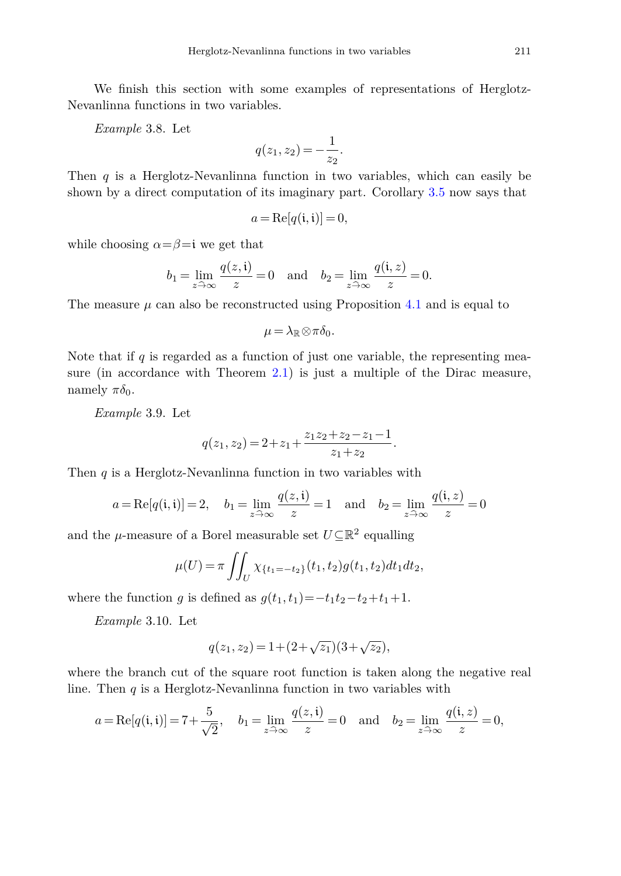We finish this section with some examples of representations of Herglotz-Nevanlinna functions in two variables.

*Example* 3.8. Let

$$
q(z_1, z_2) = -\frac{1}{z_2}.
$$

Then *q* is a Herglotz-Nevanlinna function in two variables, which can easily be shown by a direct computation of its imaginary part. Corollary [3.5](#page-11-0) now says that

$$
a = \text{Re}[q(\mathfrak{i}, \mathfrak{i})] = 0,
$$

while choosing  $\alpha = \beta = i$  we get that

$$
b_1 = \lim_{z \to \infty} \frac{q(z, \mathfrak{i})}{z} = 0
$$
 and  $b_2 = \lim_{z \to \infty} \frac{q(\mathfrak{i}, z)}{z} = 0.$ 

The measure  $\mu$  can also be reconstructed using Proposition [4.1](#page-13-1) and is equal to

$$
\mu = \lambda_{\mathbb{R}} \otimes \pi \delta_0.
$$

Note that if  $q$  is regarded as a function of just one variable, the representing measure (in accordance with Theorem [2.1\)](#page-2-0) is just a multiple of the Dirac measure, namely  $\pi \delta_0$ .

*Example* 3.9. Let

$$
q(z_1, z_2) = 2 + z_1 + \frac{z_1 z_2 + z_2 - z_1 - 1}{z_1 + z_2}.
$$

Then *q* is a Herglotz-Nevanlinna function in two variables with

$$
a = \text{Re}[q(i, i)] = 2
$$
,  $b_1 = \lim_{z \to \infty} \frac{q(z, i)}{z} = 1$  and  $b_2 = \lim_{z \to \infty} \frac{q(i, z)}{z} = 0$ 

and the *μ*-measure of a Borel measurable set  $U \subseteq \mathbb{R}^2$  equalling

$$
\mu(U) = \pi \iint_U \chi_{\{t_1 = -t_2\}}(t_1, t_2) g(t_1, t_2) dt_1 dt_2,
$$

where the function *g* is defined as  $g(t_1, t_1) = -t_1t_2 - t_2 + t_1 + 1$ .

*Example* 3.10. Let

$$
q(z_1, z_2) = 1 + (2 + \sqrt{z_1})(3 + \sqrt{z_2}),
$$

where the branch cut of the square root function is taken along the negative real line. Then *q* is a Herglotz-Nevanlinna function in two variables with

$$
a = \text{Re}[q(i, i)] = 7 + \frac{5}{\sqrt{2}},
$$
  $b_1 = \lim_{z \to \infty} \frac{q(z, i)}{z} = 0$  and  $b_2 = \lim_{z \to \infty} \frac{q(i, z)}{z} = 0,$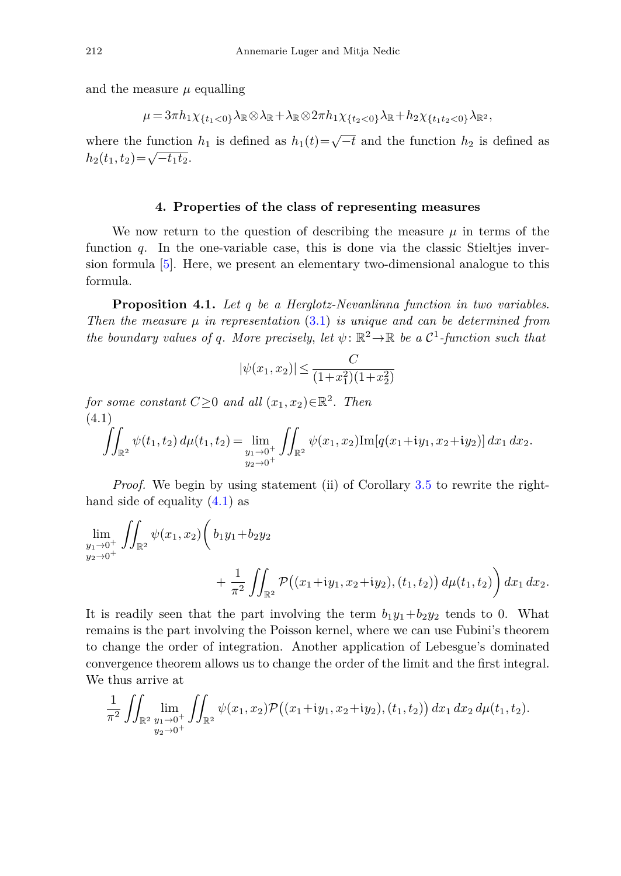and the measure  $\mu$  equalling

$$
\mu = 3\pi h_1 \chi_{\{t_1 < 0\}} \lambda_{\mathbb{R}} \otimes \lambda_{\mathbb{R}} + \lambda_{\mathbb{R}} \otimes 2\pi h_1 \chi_{\{t_2 < 0\}} \lambda_{\mathbb{R}} + h_2 \chi_{\{t_1 t_2 < 0\}} \lambda_{\mathbb{R}^2},
$$

where the function  $h_1$  is defined as  $h_1(t)=\sqrt{-t}$  and the function  $h_2$  is defined as  $h_2(t_1, t_2) = \sqrt{-t_1t_2}.$ 

#### **4. Properties of the class of representing measures**

<span id="page-13-0"></span>We now return to the question of describing the measure  $\mu$  in terms of the function *q*. In the one-variable case, this is done via the classic Stieltjes inversion formula [\[5\]](#page-17-5). Here, we present an elementary two-dimensional analogue to this formula.

<span id="page-13-1"></span>**Proposition 4.1.** Let *q* be a Herglotz-Nevanlinna function in two variables. Then the measure *μ* in representation [\(3](#page-4-1)*.*1) is unique and can be determined from the boundary values of *q*. More precisely, let  $\psi$ :  $\mathbb{R}^2 \to \mathbb{R}$  be a  $\mathcal{C}^1$ -function such that

<span id="page-13-2"></span>
$$
|\psi(x_1, x_2)| \le \frac{C}{(1+x_1^2)(1+x_2^2)}
$$

for some constant  $C \geq 0$  and all  $(x_1, x_2) \in \mathbb{R}^2$ . Then (4.1)  $\hat{I}$  $\psi(t_1, t_2) d\mu(t_1, t_2) = \lim_{y_1 \to 0^+}$  $y_2 \rightarrow 0^+$  $\int$  $\int_{\mathbb{R}^2} \psi(x_1, x_2) \text{Im}[q(x_1+iy_1, x_2+iy_2)] dx_1 dx_2.$ 

*Proof.* We begin by using statement (ii) of Corollary [3.5](#page-11-0) to rewrite the righthand side of equality (4*.*[1\)](#page-13-2) as

$$
\lim_{\substack{y_1 \to 0^+ \\ y_2 \to 0^+}} \iint_{\mathbb{R}^2} \psi(x_1, x_2) \left( b_1 y_1 + b_2 y_2 + b_1 y_2 + b_2 y_2 + \frac{1}{\pi^2} \iint_{\mathbb{R}^2} \mathcal{P}((x_1 + iy_1, x_2 + iy_2), (t_1, t_2)) d\mu(t_1, t_2) \right) dx_1 dx_2.
$$

It is readily seen that the part involving the term  $b_1y_1+b_2y_2$  tends to 0. What remains is the part involving the Poisson kernel, where we can use Fubini's theorem to change the order of integration. Another application of Lebesgue's dominated convergence theorem allows us to change the order of the limit and the first integral. We thus arrive at

$$
\frac{1}{\pi^2} \iint_{\mathbb{R}^2} \lim_{\substack{y_1 \to 0^+ \\ y_2 \to 0^+}} \iint_{\mathbb{R}^2} \psi(x_1, x_2) \mathcal{P}((x_1 + iy_1, x_2 + iy_2), (t_1, t_2)) dx_1 dx_2 d\mu(t_1, t_2).
$$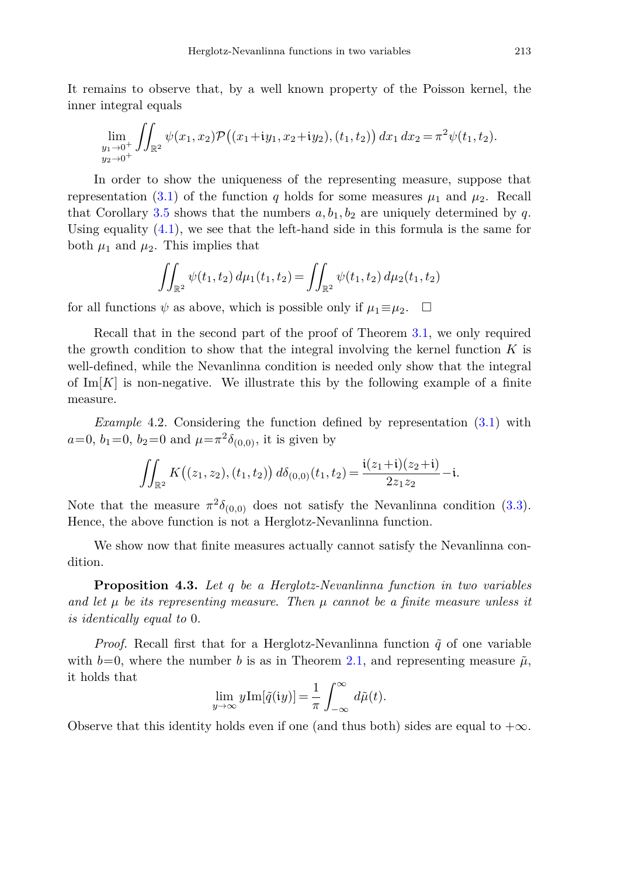It remains to observe that, by a well known property of the Poisson kernel, the inner integral equals

$$
\lim_{\substack{y_1 \to 0^+ \\ y_2 \to 0^+}} \iint_{\mathbb{R}^2} \psi(x_1, x_2) \mathcal{P}((x_1 + iy_1, x_2 + iy_2), (t_1, t_2)) dx_1 dx_2 = \pi^2 \psi(t_1, t_2).
$$

In order to show the uniqueness of the representing measure, suppose that representation (3.[1\)](#page-4-1) of the function *q* holds for some measures  $\mu_1$  and  $\mu_2$ . Recall that Corollary [3.5](#page-11-0) shows that the numbers  $a, b_1, b_2$  are uniquely determined by q. Using equality [\(4](#page-13-2)*.*1), we see that the left-hand side in this formula is the same for both  $\mu_1$  and  $\mu_2$ . This implies that

$$
\iint_{\mathbb{R}^2} \psi(t_1, t_2) d\mu_1(t_1, t_2) = \iint_{\mathbb{R}^2} \psi(t_1, t_2) d\mu_2(t_1, t_2)
$$

for all functions  $\psi$  as above, which is possible only if  $\mu_1 \equiv \mu_2$ .  $\Box$ 

Recall that in the second part of the proof of Theorem [3.1,](#page-4-4) we only required the growth condition to show that the integral involving the kernel function *K* is well-defined, while the Nevanlinna condition is needed only show that the integral of  $\text{Im}[K]$  is non-negative. We illustrate this by the following example of a finite measure.

*Example* 4.2. Considering the function defined by representation [\(3](#page-4-1)*.*1) with  $a=0, b_1=0, b_2=0$  and  $\mu=\pi^2\delta_{(0,0)}$ , it is given by

$$
\iint_{\mathbb{R}^2} K((z_1, z_2), (t_1, t_2)) d\delta_{(0,0)}(t_1, t_2) = \frac{\mathfrak{i}(z_1+\mathfrak{i})(z_2+\mathfrak{i})}{2z_1z_2} - \mathfrak{i}.
$$

Note that the measure  $\pi^2 \delta_{(0,0)}$  does not satisfy the Nevanlinna condition (3.[3\)](#page-4-0). Hence, the above function is not a Herglotz-Nevanlinna function.

We show now that finite measures actually cannot satisfy the Nevanlinna condition.

**Proposition 4.3.** Let *q* be a Herglotz-Nevanlinna function in two variables and let  $\mu$  be its representing measure. Then  $\mu$  cannot be a finite measure unless it is identically equal to 0.

*Proof.* Recall first that for a Herglotz-Nevanlinna function  $\tilde{q}$  of one variable with  $b=0$ , where the number *b* is as in Theorem [2.1,](#page-2-0) and representing measure  $\tilde{\mu}$ , it holds that

$$
\lim_{y \to \infty} y \text{Im}[\tilde{q}(\mathfrak{i}y)] = \frac{1}{\pi} \int_{-\infty}^{\infty} d\tilde{\mu}(t).
$$

Observe that this identity holds even if one (and thus both) sides are equal to  $+\infty$ .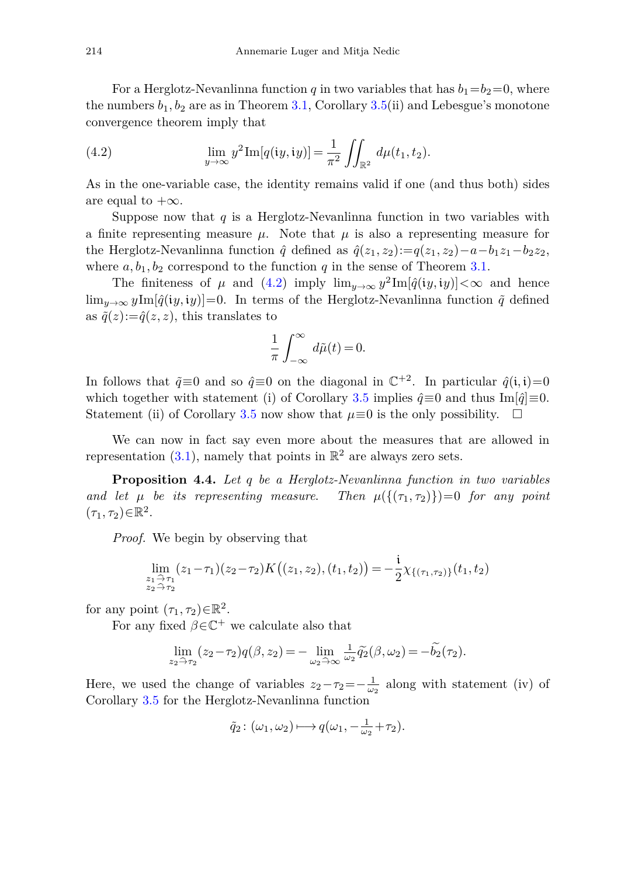For a Herglotz-Nevanlinna function *q* in two variables that has  $b_1 = b_2 = 0$ , where the numbers  $b_1, b_2$  are as in Theorem [3.1,](#page-4-4) Corollary [3.5\(](#page-11-0)ii) and Lebesgue's monotone convergence theorem imply that

<span id="page-15-0"></span>(4.2) 
$$
\lim_{y \to \infty} y^2 \text{Im}[q(iy, iy)] = \frac{1}{\pi^2} \iint_{\mathbb{R}^2} d\mu(t_1, t_2).
$$

As in the one-variable case, the identity remains valid if one (and thus both) sides are equal to  $+\infty$ .

Suppose now that  $q$  is a Herglotz-Nevanlinna function in two variables with a finite representing measure  $\mu$ . Note that  $\mu$  is also a representing measure for the Herglotz-Nevanlinna function  $\hat{q}$  defined as  $\hat{q}(z_1, z_2) := q(z_1, z_2) - a - b_1 z_1 - b_2 z_2$ , where  $a, b_1, b_2$  correspond to the function  $q$  in the sense of Theorem [3.1.](#page-4-4)

The finiteness of  $\mu$  and [\(4.2\)](#page-15-0) imply  $\lim_{y\to\infty} y^2 \text{Im}[\hat{q}(iy, iy)] < \infty$  and hence  $\lim_{y\to\infty} y \text{Im}[\hat{q}(iy, iy)] = 0$ . In terms of the Herglotz-Nevanlinna function  $\tilde{q}$  defined as  $\tilde{q}(z) := \hat{q}(z, z)$ , this translates to

$$
\frac{1}{\pi} \int_{-\infty}^{\infty} d\tilde{\mu}(t) = 0.
$$

In follows that  $\tilde{q} \equiv 0$  and so  $\hat{q} \equiv 0$  on the diagonal in  $\mathbb{C}^{+2}$ . In particular  $\hat{q}(\mathbf{i}, \mathbf{i})=0$ which together with statement (i) of Corollary [3.5](#page-11-0) implies  $\hat{q} \equiv 0$  and thus Im[ $\hat{q}$ ]≡0. Statement (ii) of Corollary [3.5](#page-11-0) now show that  $\mu \equiv 0$  is the only possibility.  $\Box$ 

We can now in fact say even more about the measures that are allowed in representation  $(3.1)$  $(3.1)$ , namely that points in  $\mathbb{R}^2$  are always zero sets.

**Proposition 4.4.** Let *q* be a Herglotz-Nevanlinna function in two variables and let  $\mu$  be its representing measure. Then  $\mu({\{\tau_1, \tau_2\}})=0$  for any point  $(\tau_1, \tau_2) \in \mathbb{R}^2$ .

*Proof.* We begin by observing that

$$
\lim_{\substack{z_1 \to \tau_1 \\ z_2 \to \tau_2}} (z_1 - \tau_1)(z_2 - \tau_2) K((z_1, z_2), (t_1, t_2)) = -\frac{i}{2} \chi_{\{(\tau_1, \tau_2)\}}(t_1, t_2)
$$

for any point  $(\tau_1, \tau_2) \in \mathbb{R}^2$ .

For any fixed  $\beta \in \mathbb{C}^+$  we calculate also that

$$
\lim_{z_2 \to \tau_2} (z_2 - \tau_2) q(\beta, z_2) = - \lim_{\omega_2 \to \infty} \frac{1}{\omega_2} \widetilde{q_2}(\beta, \omega_2) = -\widetilde{b_2}(\tau_2).
$$

Here, we used the change of variables  $z_2-\tau_2=-\frac{1}{\omega_2}$  along with statement (iv) of Corollary [3.5](#page-11-0) for the Herglotz-Nevanlinna function

$$
\tilde{q}_2\colon (\omega_1,\omega_2)\longmapsto q(\omega_1,-\tfrac{1}{\omega_2}+\tau_2).
$$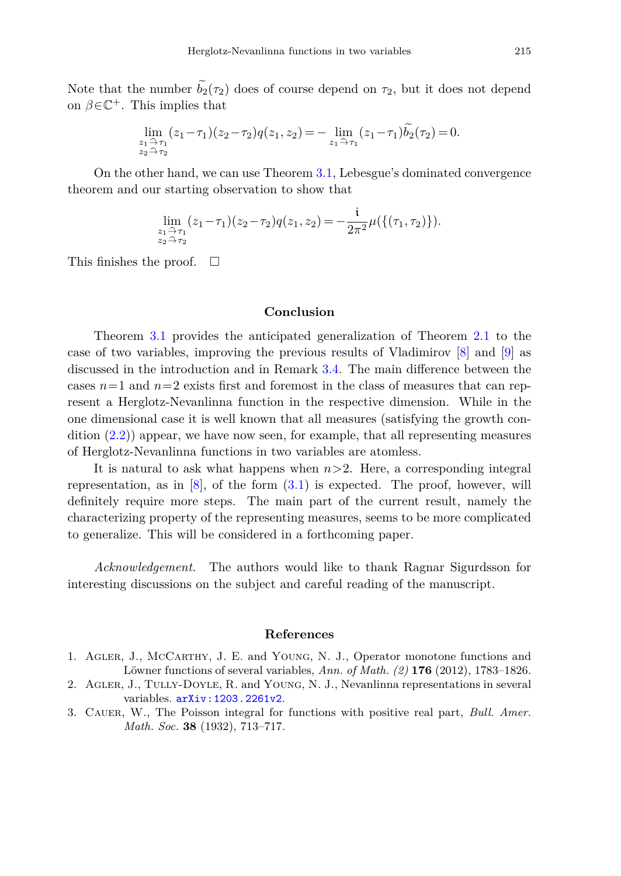Note that the number  $b_2(\tau_2)$  does of course depend on  $\tau_2$ , but it does not depend on  $\beta \in \mathbb{C}^+$ . This implies that

$$
\lim_{\substack{z_1 \to \tau_1 \\ z_2 \to \tau_2}} (z_1 - \tau_1)(z_2 - \tau_2) q(z_1, z_2) = - \lim_{z_1 \to \tau_1} (z_1 - \tau_1) \widetilde{b_2}(\tau_2) = 0.
$$

On the other hand, we can use Theorem [3.1,](#page-4-4) Lebesgue's dominated convergence theorem and our starting observation to show that

$$
\lim_{\substack{z_1 \to \tau_1 \\ z_2 \to \tau_2}} (z_1 - \tau_1)(z_2 - \tau_2) q(z_1, z_2) = -\frac{i}{2\pi^2} \mu(\{(\tau_1, \tau_2)\}).
$$

This finishes the proof.  $\Box$ 

## **Conclusion**

Theorem [3.1](#page-4-4) provides the anticipated generalization of Theorem [2.1](#page-2-0) to the case of two variables, improving the previous results of Vladimirov [\[8\]](#page-17-0) and [\[9\]](#page-17-1) as discussed in the introduction and in Remark [3.4.](#page-10-0) The main difference between the cases  $n=1$  and  $n=2$  exists first and foremost in the class of measures that can represent a Herglotz-Nevanlinna function in the respective dimension. While in the one dimensional case it is well known that all measures (satisfying the growth condition (2*.*[2\)](#page-2-3)) appear, we have now seen, for example, that all representing measures of Herglotz-Nevanlinna functions in two variables are atomless.

It is natural to ask what happens when *n>*2. Here, a corresponding integral representation, as in [\[8\]](#page-17-0), of the form (3*.*[1\)](#page-4-1) is expected. The proof, however, will definitely require more steps. The main part of the current result, namely the characterizing property of the representing measures, seems to be more complicated to generalize. This will be considered in a forthcoming paper.

*Acknowledgement.* The authors would like to thank Ragnar Sigurdsson for interesting discussions on the subject and careful reading of the manuscript.

### **References**

- <span id="page-16-0"></span>1. Agler, J., McCarthy, J. E. and Young, N. J., Operator monotone functions and Löwner functions of several variables, *Ann. of Math. (2)* **176** (2012), 1783–1826.
- <span id="page-16-1"></span>2. Agler, J., Tully-Doyle, R. and Young, N. J., Nevanlinna representations in several variables. [arXiv:1203.2261v2](http://arxiv.org/abs/arXiv:1203.2261v2).
- <span id="page-16-2"></span>3. Cauer, W., The Poisson integral for functions with positive real part, *Bull. Amer. Math. Soc.* **38** (1932), 713–717.